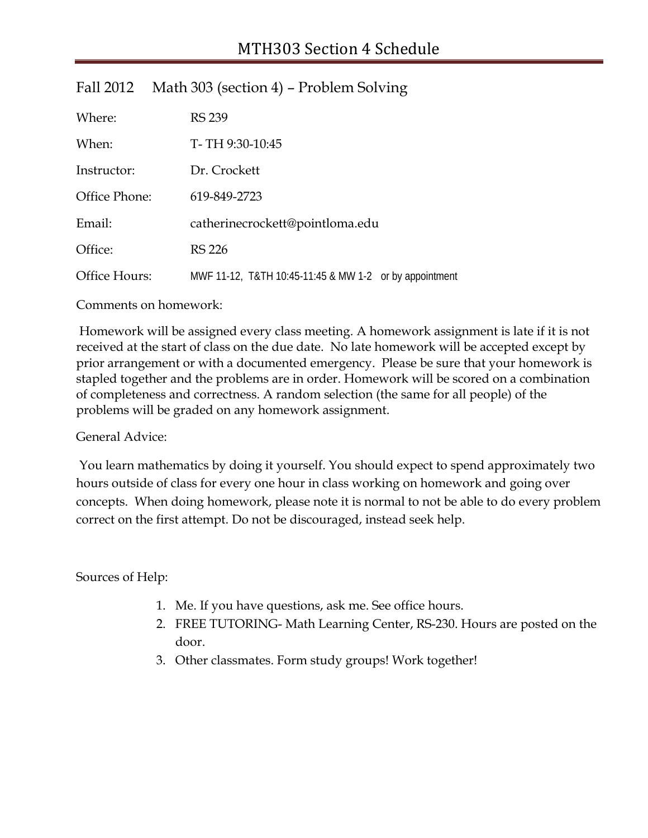| Where:        | <b>RS 239</b>   |                                                        |  |
|---------------|-----------------|--------------------------------------------------------|--|
| When:         | T-TH 9:30-10:45 |                                                        |  |
| Instructor:   | Dr. Crockett    |                                                        |  |
| Office Phone: | 619-849-2723    |                                                        |  |
| Email:        |                 | catherinecrockett@pointloma.edu                        |  |
| Office:       | <b>RS 226</b>   |                                                        |  |
| Office Hours: |                 | MWF 11-12, T&TH 10:45-11:45 & MW 1-2 or by appointment |  |

## Fall 2012 Math 303 (section 4) – Problem Solving

Comments on homework:

Homework will be assigned every class meeting. A homework assignment is late if it is not received at the start of class on the due date. No late homework will be accepted except by prior arrangement or with a documented emergency. Please be sure that your homework is stapled together and the problems are in order. Homework will be scored on a combination of completeness and correctness. A random selection (the same for all people) of the problems will be graded on any homework assignment.

## General Advice:

You learn mathematics by doing it yourself. You should expect to spend approximately two hours outside of class for every one hour in class working on homework and going over concepts. When doing homework, please note it is normal to not be able to do every problem correct on the first attempt. Do not be discouraged, instead seek help.

Sources of Help:

- 1. Me. If you have questions, ask me. See office hours.
- 2. FREE TUTORING- Math Learning Center, RS-230. Hours are posted on the door.
- 3. Other classmates. Form study groups! Work together!